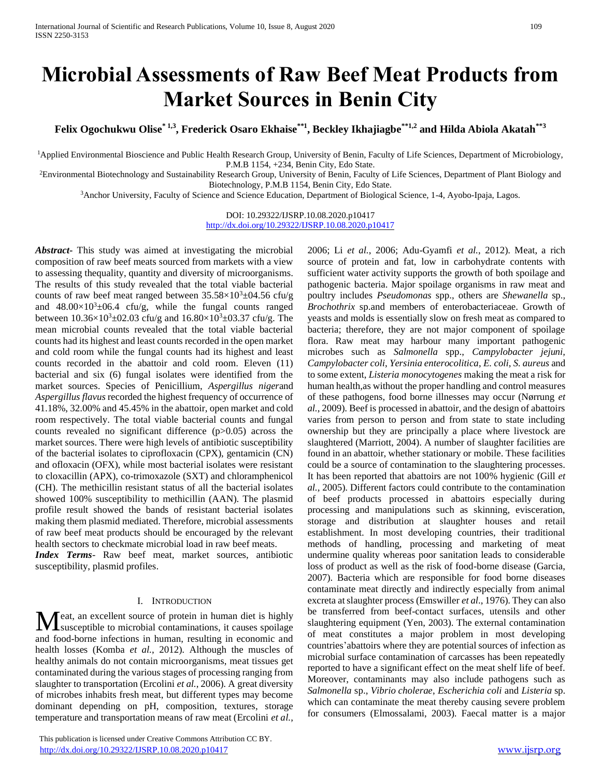# **Microbial Assessments of Raw Beef Meat Products from Market Sources in Benin City**

**Felix Ogochukwu Olise\* 1,3, Frederick Osaro Ekhaise\*\*1, Beckley Ikhajiagbe\*\*1,2 and Hilda Abiola Akatah\*\*3**

<sup>1</sup>Applied Environmental Bioscience and Public Health Research Group, University of Benin, Faculty of Life Sciences, Department of Microbiology, P.M.B 1154, +234, Benin City, Edo State.

<sup>2</sup>Environmental Biotechnology and Sustainability Research Group, University of Benin, Faculty of Life Sciences, Department of Plant Biology and Biotechnology, P.M.B 1154, Benin City, Edo State.

<sup>3</sup>Anchor University, Faculty of Science and Science Education, Department of Biological Science, 1-4, Ayobo-Ipaja, Lagos.

DOI: 10.29322/IJSRP.10.08.2020.p10417 <http://dx.doi.org/10.29322/IJSRP.10.08.2020.p10417>

*Abstract***-** This study was aimed at investigating the microbial composition of raw beef meats sourced from markets with a view to assessing thequality, quantity and diversity of microorganisms. The results of this study revealed that the total viable bacterial counts of raw beef meat ranged between  $35.58\times10^{3} \pm 04.56$  cfu/g and  $48.00\times10^{3}$ ±06.4 cfu/g, while the fungal counts ranged between  $10.36\times10^{3} \pm 02.03$  cfu/g and  $16.80\times10^{3} \pm 03.37$  cfu/g. The mean microbial counts revealed that the total viable bacterial counts had its highest and least counts recorded in the open market and cold room while the fungal counts had its highest and least counts recorded in the abattoir and cold room. Eleven (11) bacterial and six (6) fungal isolates were identified from the market sources. Species of Penicillium, *Aspergillus niger*and *Aspergillus flavus* recorded the highest frequency of occurrence of 41.18%, 32.00% and 45.45% in the abattoir, open market and cold room respectively. The total viable bacterial counts and fungal counts revealed no significant difference (p>0.05) across the market sources. There were high levels of antibiotic susceptibility of the bacterial isolates to ciprofloxacin (CPX), gentamicin (CN) and ofloxacin (OFX), while most bacterial isolates were resistant to cloxacillin (APX), co-trimoxazole (SXT) and chloramphenicol (CH). The methicillin resistant status of all the bacterial isolates showed 100% susceptibility to methicillin (AAN). The plasmid profile result showed the bands of resistant bacterial isolates making them plasmid mediated. Therefore, microbial assessments of raw beef meat products should be encouraged by the relevant health sectors to checkmate microbial load in raw beef meats.

*Index Terms*- Raw beef meat, market sources, antibiotic susceptibility, plasmid profiles.

#### I. INTRODUCTION

eat, an excellent source of protein in human diet is highly susceptible to microbial contaminations, it causes spoilage and food-borne infections in human, resulting in economic and health losses (Komba *et al.*, 2012). Although the muscles of healthy animals do not contain microorganisms, meat tissues get contaminated during the various stages of processing ranging from slaughter to transportation (Ercolini *et al.*, 2006). A great diversity of microbes inhabits fresh meat, but different types may become dominant depending on pH, composition, textures, storage temperature and transportation means of raw meat (Ercolini *et al.*, M

 This publication is licensed under Creative Commons Attribution CC BY. <http://dx.doi.org/10.29322/IJSRP.10.08.2020.p10417> [www.ijsrp.org](http://ijsrp.org/)

2006; Li *et al.*, 2006; Adu-Gyamfi *et al.*, 2012). Meat, a rich source of protein and fat, low in carbohydrate contents with sufficient water activity supports the growth of both spoilage and pathogenic bacteria. Major spoilage organisms in raw meat and poultry includes *Pseudomonas* spp., others are *Shewanella* sp., *Brochothrix* sp.and members of enterobacteriaceae. Growth of yeasts and molds is essentially slow on fresh meat as compared to bacteria; therefore, they are not major component of spoilage flora. Raw meat may harbour many important pathogenic microbes such as *Salmonella* spp., *Campylobacter jejuni, Campylobacter coli*, *Yersinia enterocolitica*, *E. coli*, *S. aureus* and to some extent, *Listeria monocytogenes* making the meat a risk for human health,as without the proper handling and control measures of these pathogens, food borne illnesses may occur (Nørrung *et al.*, 2009). Beef is processed in abattoir, and the design of abattoirs varies from person to person and from state to state including ownership but they are principally a place where livestock are slaughtered (Marriott, 2004). A number of slaughter facilities are found in an abattoir, whether stationary or mobile. These facilities could be a source of contamination to the slaughtering processes. It has been reported that abattoirs are not 100% hygienic (Gill *et al.,* 2005). Different factors could contribute to the contamination of beef products processed in abattoirs especially during processing and manipulations such as skinning, evisceration, storage and distribution at slaughter houses and retail establishment. In most developing countries, their traditional methods of handling, processing and marketing of meat undermine quality whereas poor sanitation leads to considerable loss of product as well as the risk of food-borne disease (Garcia, 2007). Bacteria which are responsible for food borne diseases contaminate meat directly and indirectly especially from animal excreta at slaughter process (Emswiller *et al*., 1976). They can also be transferred from beef-contact surfaces, utensils and other slaughtering equipment (Yen, 2003). The external contamination of meat constitutes a major problem in most developing countries'abattoirs where they are potential sources of infection as microbial surface contamination of carcasses has been repeatedly reported to have a significant effect on the meat shelf life of beef. Moreover, contaminants may also include pathogens such as *Salmonella* sp., *Vibrio cholerae*, *Escherichia coli* and *Listeria* sp. which can contaminate the meat thereby causing severe problem for consumers (Elmossalami, 2003). Faecal matter is a major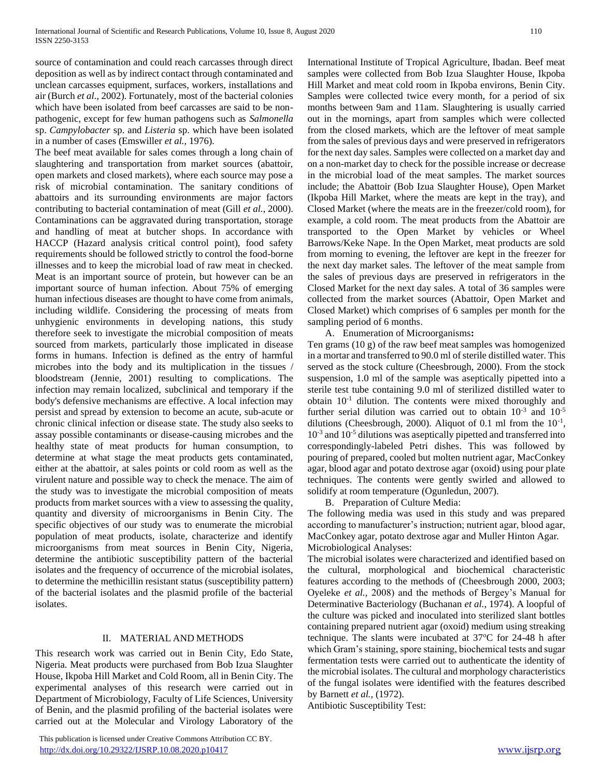source of contamination and could reach carcasses through direct deposition as well as by indirect contact through contaminated and unclean carcasses equipment, surfaces, workers, installations and air (Burch *et al*., 2002). Fortunately, most of the bacterial colonies which have been isolated from beef carcasses are said to be nonpathogenic, except for few human pathogens such as *Salmonella*  sp. *Campylobacter* sp. and *Listeria* sp. which have been isolated in a number of cases (Emswiller *et al.,* 1976).

The beef meat available for sales comes through a long chain of slaughtering and transportation from market sources (abattoir, open markets and closed markets), where each source may pose a risk of microbial contamination. The sanitary conditions of abattoirs and its surrounding environments are major factors contributing to bacterial contamination of meat (Gill *et al.*, 2000). Contaminations can be aggravated during transportation, storage and handling of meat at butcher shops. In accordance with HACCP (Hazard analysis critical control point), food safety requirements should be followed strictly to control the food-borne illnesses and to keep the microbial load of raw meat in checked. Meat is an important source of protein, but however can be an important source of human infection. About 75% of emerging human infectious diseases are thought to have come from animals, including wildlife. Considering the processing of meats from unhygienic environments in developing nations, this study therefore seek to investigate the microbial composition of meats sourced from markets, particularly those implicated in disease forms in humans. Infection is defined as the entry of harmful microbes into the body and its multiplication in the tissues / bloodstream (Jennie, 2001) resulting to complications. The infection may remain [localized,](http://www.biology-online.org/dictionary/Localised) [subclinical](http://www.biology-online.org/dictionary/Subclinical) and [temporary](http://www.biology-online.org/dictionary/Temporary) if the body's defensive [mechanisms](http://www.biology-online.org/dictionary/Mechanisms) are [effective.](http://www.biology-online.org/dictionary/Effective) [A local](http://www.biology-online.org/dictionary/Local) infection may persist and [spread](http://www.biology-online.org/dictionary/Spread) by [extension](http://www.biology-online.org/dictionary/Extension) to become an [acute,](http://www.biology-online.org/dictionary/Acute) [sub-acute](http://www.biology-online.org/dictionary/Subacute) or [chronic](http://www.biology-online.org/dictionary/Chronic) [clinical](http://www.biology-online.org/dictionary/Clinical) infection or [disease](http://www.biology-online.org/dictionary/Disease) [state.](http://www.biology-online.org/dictionary/State) The study also seeks to assay possible contaminants or disease-causing microbes and the healthy state of meat products for human consumption, to determine at what stage the meat products gets contaminated, either at the abattoir, at sales points or cold room as well as the virulent nature and possible way to check the menace. The aim of the study was to investigate the microbial composition of meats products from market sources with a view to assessing the quality, quantity and diversity of microorganisms in Benin City. The specific objectives of our study was to enumerate the microbial population of meat products, isolate, characterize and identify microorganisms from meat sources in Benin City, Nigeria, determine the antibiotic susceptibility pattern of the bacterial isolates and the frequency of occurrence of the microbial isolates, to determine the methicillin resistant status (susceptibility pattern) of the bacterial isolates and the plasmid profile of the bacterial isolates.

# II. MATERIAL AND METHODS

This research work was carried out in Benin City, Edo State, Nigeria. Meat products were purchased from Bob Izua Slaughter House, Ikpoba Hill Market and Cold Room, all in Benin City. The experimental analyses of this research were carried out in Department of Microbiology, Faculty of Life Sciences, University of Benin, and the plasmid profiling of the bacterial isolates were carried out at the Molecular and Virology Laboratory of the

 This publication is licensed under Creative Commons Attribution CC BY. <http://dx.doi.org/10.29322/IJSRP.10.08.2020.p10417> [www.ijsrp.org](http://ijsrp.org/)

International Institute of Tropical Agriculture, Ibadan. Beef meat samples were collected from Bob Izua Slaughter House, Ikpoba Hill Market and meat cold room in Ikpoba environs, Benin City. Samples were collected twice every month, for a period of six months between 9am and 11am. Slaughtering is usually carried out in the mornings, apart from samples which were collected from the closed markets, which are the leftover of meat sample from the sales of previous days and were preserved in refrigerators for the next day sales. Samples were collected on a market day and on a non-market day to check for the possible increase or decrease in the microbial load of the meat samples. The market sources include; the Abattoir (Bob Izua Slaughter House), Open Market (Ikpoba Hill Market, where the meats are kept in the tray), and Closed Market (where the meats are in the freezer/cold room), for example, a cold room. The meat products from the Abattoir are transported to the Open Market by vehicles or Wheel Barrows/Keke Nape. In the Open Market, meat products are sold from morning to evening, the leftover are kept in the freezer for the next day market sales. The leftover of the meat sample from the sales of previous days are preserved in refrigerators in the Closed Market for the next day sales. A total of 36 samples were collected from the market sources (Abattoir, Open Market and Closed Market) which comprises of 6 samples per month for the sampling period of 6 months.

A. Enumeration of Microorganisms**:**

Ten grams (10 g) of the raw beef meat samples was homogenized in a mortar and transferred to 90.0 ml of sterile distilled water. This served as the stock culture (Cheesbrough, 2000). From the stock suspension, 1.0 ml of the sample was aseptically pipetted into a sterile test tube containing 9.0 ml of sterilized distilled water to obtain  $10^{-1}$  dilution. The contents were mixed thoroughly and further serial dilution was carried out to obtain  $10^{-3}$  and  $10^{-5}$ dilutions (Cheesbrough, 2000). Aliquot of 0.1 ml from the  $10^{-1}$ , 10-3 and 10-5 dilutions was aseptically pipetted and transferred into correspondingly-labeled Petri dishes. This was followed by pouring of prepared, cooled but molten nutrient agar, MacConkey agar, blood agar and potato dextrose agar (oxoid) using pour plate techniques. The contents were gently swirled and allowed to solidify at room temperature (Ogunledun, 2007).

B. Preparation of Culture Media:

The following media was used in this study and was prepared according to manufacturer's instruction; nutrient agar, blood agar, MacConkey agar, potato dextrose agar and Muller Hinton Agar. Microbiological Analyses:

The microbial isolates were characterized and identified based on the cultural, morphological and biochemical characteristic features according to the methods of (Cheesbrough 2000, 2003; Oyeleke *et al.,* 2008) and the methods of Bergey's Manual for Determinative Bacteriology (Buchanan *et al.,* 1974). A loopful of the culture was picked and inoculated into sterilized slant bottles containing prepared nutrient agar (oxoid) medium using streaking technique. The slants were incubated at  $37^{\circ}$ C for 24-48 h after which Gram's staining, spore staining, biochemical tests and sugar fermentation tests were carried out to authenticate the identity of the microbial isolates. The cultural and morphology characteristics of the fungal isolates were identified with the features described by Barnett *et al.,* (1972).

Antibiotic Susceptibility Test: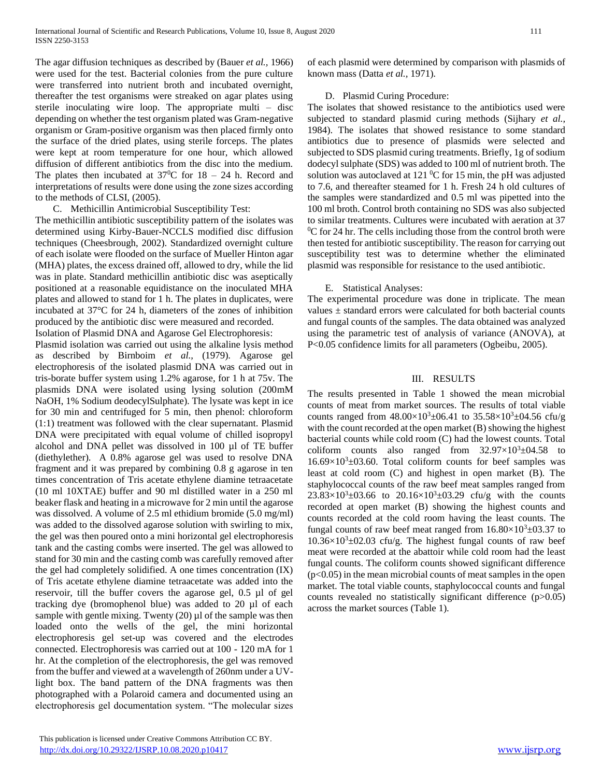The agar diffusion techniques as described by (Bauer *et al.,* 1966) were used for the test. Bacterial colonies from the pure culture were transferred into nutrient broth and incubated overnight, thereafter the test organisms were streaked on agar plates using sterile inoculating wire loop. The appropriate multi – disc depending on whether the test organism plated was Gram-negative organism or Gram-positive organism was then placed firmly onto the surface of the dried plates, using sterile forceps. The plates were kept at room temperature for one hour, which allowed diffusion of different antibiotics from the disc into the medium. The plates then incubated at  $37^{\circ}$ C for  $18 - 24$  h. Record and interpretations of results were done using the zone sizes according to the methods of CLSI, (2005).

C. Methicillin Antimicrobial Susceptibility Test:

The methicillin antibiotic susceptibility pattern of the isolates was determined using Kirby-Bauer-NCCLS modified disc diffusion techniques (Cheesbrough, 2002). Standardized overnight culture of each isolate were flooded on the surface of Mueller Hinton agar (MHA) plates, the excess drained off, allowed to dry, while the lid was in plate. Standard methicillin antibiotic disc was aseptically positioned at a reasonable equidistance on the inoculated MHA plates and allowed to stand for 1 h. The plates in duplicates, were incubated at 37°C for 24 h, diameters of the zones of inhibition produced by the antibiotic disc were measured and recorded. Isolation of Plasmid DNA and Agarose Gel Electrophoresis:

Plasmid isolation was carried out using the alkaline lysis method as described by Birnboim *et al.,* (1979). Agarose gel electrophoresis of the isolated plasmid DNA was carried out in tris-borate buffer system using 1.2% agarose, for 1 h at 75v. The plasmids DNA were isolated using lysing solution (200mM NaOH, 1% Sodium deodecylSulphate). The lysate was kept in ice for 30 min and centrifuged for 5 min, then phenol: chloroform (1:1) treatment was followed with the clear supernatant. Plasmid DNA were precipitated with equal volume of chilled isopropyl alcohol and DNA pellet was dissolved in 100 µl of TE buffer (diethylether). A 0.8% agarose gel was used to resolve DNA fragment and it was prepared by combining 0.8 g agarose in ten times concentration of Tris acetate ethylene diamine tetraacetate (10 ml 10XTAE) buffer and 90 ml distilled water in a 250 ml beaker flask and heating in a microwave for 2 min until the agarose was dissolved. A volume of 2.5 ml ethidium bromide (5.0 mg/ml) was added to the dissolved agarose solution with swirling to mix, the gel was then poured onto a mini horizontal gel electrophoresis tank and the casting combs were inserted. The gel was allowed to stand for 30 min and the casting comb was carefully removed after the gel had completely solidified. A one times concentration (IX) of Tris acetate ethylene diamine tetraacetate was added into the reservoir, till the buffer covers the agarose gel, 0.5 µl of gel tracking dye (bromophenol blue) was added to 20 µl of each sample with gentle mixing. Twenty  $(20)$   $\mu$ l of the sample was then loaded onto the wells of the gel, the mini horizontal electrophoresis gel set-up was covered and the electrodes connected. Electrophoresis was carried out at 100 - 120 mA for 1 hr. At the completion of the electrophoresis, the gel was removed from the buffer and viewed at a wavelength of 260nm under a UVlight box. The band pattern of the DNA fragments was then photographed with a Polaroid camera and documented using an electrophoresis gel documentation system. "The molecular sizes of each plasmid were determined by comparison with plasmids of known mass (Datta *et al.,* 1971).

### D. Plasmid Curing Procedure:

The isolates that showed resistance to the antibiotics used were subjected to standard plasmid curing methods (Sijhary *et al.,* 1984). The isolates that showed resistance to some standard antibiotics due to presence of plasmids were selected and subjected to SDS plasmid curing treatments. Briefly, 1g of sodium dodecyl sulphate (SDS) was added to 100 ml of nutrient broth. The solution was autoclaved at 121  $\rm{^0C}$  for 15 min, the pH was adjusted to 7.6, and thereafter steamed for 1 h. Fresh 24 h old cultures of the samples were standardized and 0.5 ml was pipetted into the 100 ml broth. Control broth containing no SDS was also subjected to similar treatments. Cultures were incubated with aeration at 37  $\rm{^{0}C}$  for 24 hr. The cells including those from the control broth were then tested for antibiotic susceptibility. The reason for carrying out susceptibility test was to determine whether the eliminated plasmid was responsible for resistance to the used antibiotic.

# E. Statistical Analyses:

The experimental procedure was done in triplicate. The mean values  $\pm$  standard errors were calculated for both bacterial counts and fungal counts of the samples. The data obtained was analyzed using the parametric test of analysis of variance (ANOVA), at P<0.05 confidence limits for all parameters (Ogbeibu*,* 2005).

# III. RESULTS

The results presented in Table 1 showed the mean microbial counts of meat from market sources. The results of total viable counts ranged from  $48.00 \times 10^3 \pm 06.41$  to  $35.58 \times 10^3 \pm 04.56$  cfu/g with the count recorded at the open market (B) showing the highest bacterial counts while cold room (C) had the lowest counts. Total coliform counts also ranged from  $32.97 \times 10^3 \pm 04.58$  to  $16.69\times10^{3}$ ±03.60. Total coliform counts for beef samples was least at cold room (C) and highest in open market (B). The staphylococcal counts of the raw beef meat samples ranged from  $23.83 \times 10^{3} \pm 03.66$  to  $20.16 \times 10^{3} \pm 03.29$  cfu/g with the counts recorded at open market (B) showing the highest counts and counts recorded at the cold room having the least counts. The fungal counts of raw beef meat ranged from  $16.80\times10^{3} \pm 03.37$  to  $10.36\times10^{3}$ ±02.03 cfu/g. The highest fungal counts of raw beef meat were recorded at the abattoir while cold room had the least fungal counts. The coliform counts showed significant difference  $(p<0.05)$  in the mean microbial counts of meat samples in the open market. The total viable counts, staphylococcal counts and fungal counts revealed no statistically significant difference (p>0.05) across the market sources (Table 1).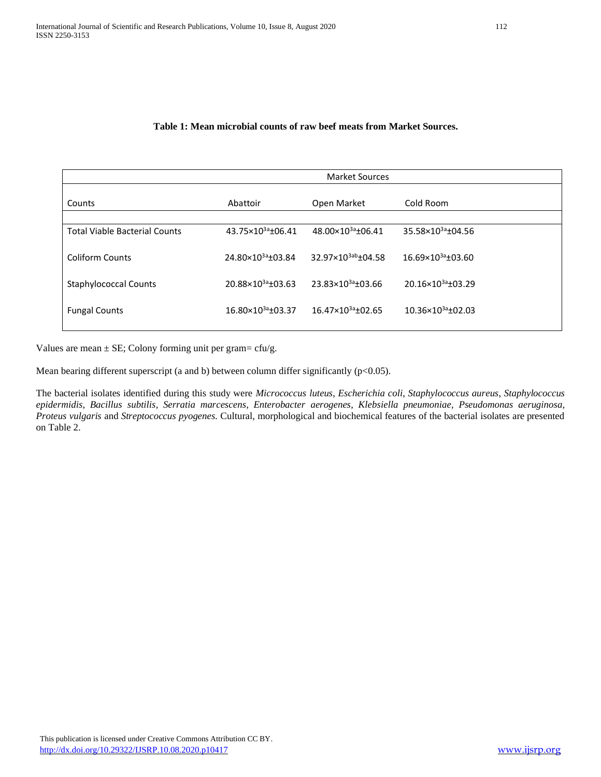# **Table 1: Mean microbial counts of raw beef meats from Market Sources.**

| Counts                               | Abattoir                      | Open Market                    | Cold Room                     |
|--------------------------------------|-------------------------------|--------------------------------|-------------------------------|
| <b>Total Viable Bacterial Counts</b> | 43.75×10 <sup>3a</sup> ±06.41 | 48.00×10 <sup>3a</sup> ±06.41  | 35.58×10 <sup>3a</sup> ±04.56 |
| <b>Coliform Counts</b>               | 24.80×10 <sup>3a</sup> ±03.84 | 32.97×10 <sup>3ab</sup> +04.58 | 16.69×103a±03.60              |
| <b>Staphylococcal Counts</b>         | 20.88×10 <sup>3a</sup> ±03.63 | 23.83×10 <sup>3a</sup> +03.66  | 20.16×10 <sup>3a</sup> ±03.29 |
| <b>Fungal Counts</b>                 | 16.80×10 <sup>3a</sup> ±03.37 | 16.47×10 <sup>3a</sup> ±02.65  | 10.36×10 <sup>3a</sup> ±02.03 |
|                                      |                               |                                |                               |

Values are mean  $\pm$  SE; Colony forming unit per gram= cfu/g.

Mean bearing different superscript (a and b) between column differ significantly (p<0.05).

The bacterial isolates identified during this study were *Micrococcus luteus*, *Escherichia coli*, *Staphylococcus aureus*, *Staphylococcus epidermidis*, *Bacillus subtilis*, *Serratia marcescens, Enterobacter aerogenes*, *Klebsiella pneumoniae, Pseudomonas aeruginosa, Proteus vulgaris* and *Streptococcus pyogenes.* Cultural, morphological and biochemical features of the bacterial isolates are presented on Table 2.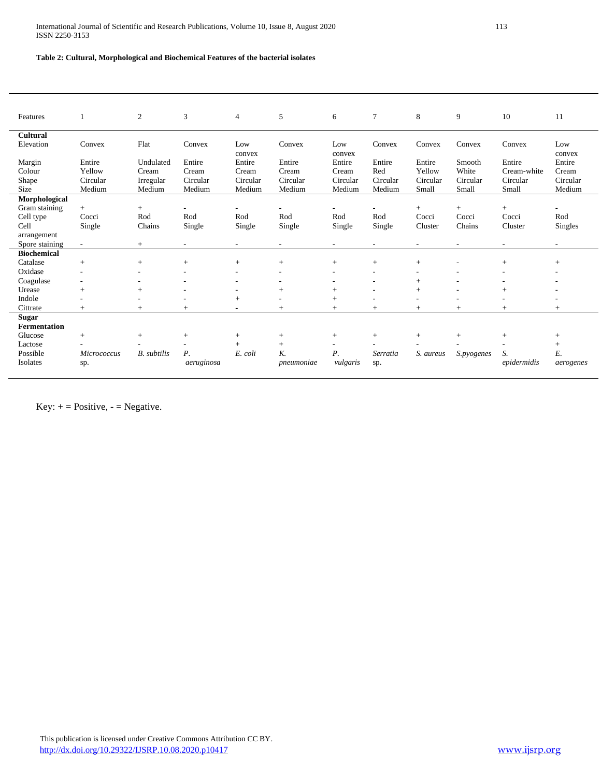# **Table 2: Cultural, Morphological and Biochemical Features of the bacterial isolates**

| Features            |                          | $\overline{2}$     | 3                        | $\overline{4}$           | 5                        | 6                        | $\tau$                   | 8         | 9          | 10             | 11             |
|---------------------|--------------------------|--------------------|--------------------------|--------------------------|--------------------------|--------------------------|--------------------------|-----------|------------|----------------|----------------|
| <b>Cultural</b>     |                          |                    |                          |                          |                          |                          |                          |           |            |                |                |
| Elevation           | Convex                   | Flat               | Convex                   | Low<br>convex            | Convex                   | Low<br>convex            | Convex                   | Convex    | Convex     | Convex         | Low<br>convex  |
| Margin              | Entire                   | Undulated          | Entire                   | Entire                   | Entire                   | Entire                   | Entire                   | Entire    | Smooth     | Entire         | Entire         |
| Colour              | Yellow                   | Cream              | Cream                    | Cream                    | Cream                    | Cream                    | Red                      | Yellow    | White      | Cream-white    | Cream          |
| Shape               | Circular                 | Irregular          | Circular                 | Circular                 | Circular                 | Circular                 | Circular                 | Circular  | Circular   | Circular       | Circular       |
| Size                | Medium                   | Medium             | Medium                   | Medium                   | Medium                   | Medium                   | Medium                   | Small     | Small      | Small          | Medium         |
| Morphological       |                          |                    |                          |                          |                          |                          |                          |           |            |                |                |
| Gram staining       | $+$                      | $\qquad \qquad +$  |                          | $\overline{\phantom{a}}$ |                          |                          |                          | $+$       | $+$        | $+$            | $\overline{a}$ |
| Cell type           | Cocci                    | Rod                | Rod                      | Rod                      | Rod                      | Rod                      | Rod                      | Cocci     | Cocci      | Cocci          | Rod            |
| Cell                | Single                   | Chains             | Single                   | Single                   | Single                   | Single                   | Single                   | Cluster   | Chains     | Cluster        | Singles        |
| arrangement         |                          |                    |                          |                          |                          |                          |                          |           |            |                |                |
| Spore staining      | $\sim$                   | $+$                | $\overline{\phantom{a}}$ | $\overline{\phantom{a}}$ | $\overline{\phantom{a}}$ | $\overline{\phantom{a}}$ | $\overline{\phantom{a}}$ |           |            | $\overline{a}$ | ٠              |
| <b>Biochemical</b>  |                          |                    |                          |                          |                          |                          |                          |           |            |                |                |
| Catalase            | $+$                      | $+$                | $+$                      | $+$                      | $+$                      | $+$                      | $+$                      | $+$       |            | $+$            | $+$            |
| Oxidase             | $\overline{\phantom{a}}$ |                    |                          |                          |                          |                          |                          |           |            |                |                |
| Coagulase           |                          |                    |                          |                          |                          |                          |                          | $^{+}$    |            |                |                |
| Urease              | $^{+}$                   | $^{+}$             |                          | $\overline{\phantom{a}}$ | $^{+}$                   | $^{+}$                   | ٠                        | $+$       |            |                |                |
| Indole              |                          | ٠                  |                          | $+$                      | ٠                        | $+$                      | ٠                        |           |            | ٠              |                |
| Cittrate            | $^{+}$                   | $+$                | $+$                      | ٠                        | $^{+}$                   | $+$                      | $+$                      | $^{+}$    | $^{+}$     | $^{+}$         | $+$            |
| <b>Sugar</b>        |                          |                    |                          |                          |                          |                          |                          |           |            |                |                |
| <b>Fermentation</b> |                          |                    |                          |                          |                          |                          |                          |           |            |                |                |
| Glucose             | $+$                      | $^{+}$             | $^{+}$                   | $+$                      | $^{+}$                   | $^{+}$                   | $^{+}$                   | $+$       | $+$        | $+$            | $^{+}$         |
| Lactose             |                          |                    |                          | $+$                      | $^{+}$                   | $\overline{\phantom{a}}$ |                          |           |            |                | $^{+}$         |
| Possible            | <b>Micrococcus</b>       | <b>B.</b> subtilis | Р.                       | E. coli                  | K.                       | Р.                       | Serratia                 | S. aureus | S.pyogenes | S.             | E.             |
| Isolates            | sp.                      |                    | aeruginosa               |                          | pneumoniae               | vulgaris                 | sp.                      |           |            | epidermidis    | aerogenes      |
|                     |                          |                    |                          |                          |                          |                          |                          |           |            |                |                |

Key:  $+$  = Positive,  $-$  = Negative.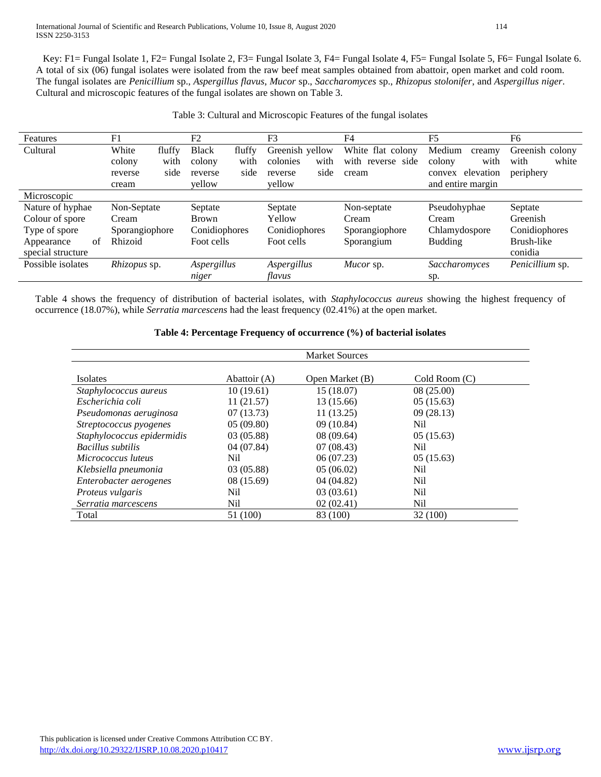A total of six (06) fungal isolates were isolated from the raw beef meat samples obtained from abattoir, open market and cold room. The fungal isolates are *Penicillium* sp., *Aspergillus flavus*, *Mucor* sp., *Saccharomyces* sp., *Rhizopus stolonifer*, and *Aspergillus niger*. Cultural and microscopic features of the fungal isolates are shown on Table 3. Key: F1= Fungal Isolate 1, F2= Fungal Isolate 2, F3= Fungal Isolate 3, F4= Fungal Isolate 4, F5= Fungal Isolate 5, F6= Fungal Isolate 6.

| Features          | F1              | F2                     | F <sub>3</sub>   | F4                   | F <sub>5</sub>      | F6              |
|-------------------|-----------------|------------------------|------------------|----------------------|---------------------|-----------------|
| Cultural          | White<br>fluffy | <b>Black</b><br>fluffy | Greenish yellow  | White flat colony    | Medium<br>creamy    | Greenish colony |
|                   | colony<br>with  | colony<br>with         | with<br>colonies | with<br>reverse side | with<br>colony      | white<br>with   |
|                   | side<br>reverse | side<br>reverse        | side<br>reverse  | cream                | elevation<br>convex | periphery       |
|                   | cream           | vellow                 | vellow           |                      | and entire margin   |                 |
| Microscopic       |                 |                        |                  |                      |                     |                 |
| Nature of hyphae  | Non-Septate     | Septate                | Septate          | Non-septate          | Pseudohyphae        | Septate         |
| Colour of spore   | Cream           | <b>Brown</b>           | Yellow           | Cream                | Cream               | Greenish        |
| Type of spore     | Sporangiophore  | Conidiophores          | Conidiophores    | Sporangiophore       | Chlamydospore       | Conidiophores   |
| of<br>Appearance  | Rhizoid         | Foot cells             | Foot cells       | Sporangium           | <b>Budding</b>      | Brush-like      |
| special structure |                 |                        |                  |                      |                     | conidia         |
| Possible isolates | Rhizopus sp.    | Aspergillus            | Aspergillus      | Mucor sp.            | Saccharomyces       | Penicillium sp. |
|                   |                 | niger                  | flavus           |                      | Sp.                 |                 |

Table 4 shows the frequency of distribution of bacterial isolates, with *Staphylococcus aureus* showing the highest frequency of occurrence (18.07%), while *Serratia marcescens* had the least frequency (02.41%) at the open market.

|  |  |  | Table 4: Percentage Frequency of occurrence (%) of bacterial isolates |
|--|--|--|-----------------------------------------------------------------------|

|                            | <b>Market Sources</b> |                 |                |  |  |  |  |  |
|----------------------------|-----------------------|-----------------|----------------|--|--|--|--|--|
| Isolates                   | Abattoir (A)          | Open Market (B) | Cold Room (C)  |  |  |  |  |  |
| Staphylococcus aureus      | 10(19.61)             | 15 (18.07)      | 08(25.00)      |  |  |  |  |  |
| Escherichia coli           | 11(21.57)             | 13 (15.66)      | 05(15.63)      |  |  |  |  |  |
| Pseudomonas aeruginosa     | 07(13.73)             | 11(13.25)       | 09(28.13)      |  |  |  |  |  |
| Streptococcus pyogenes     | 05(09.80)             | 09(10.84)       | Nil            |  |  |  |  |  |
| Staphylococcus epidermidis | 03 (05.88)            | 08(09.64)       | 05(15.63)      |  |  |  |  |  |
| Bacillus subtilis          | 04(07.84)             | 07(08.43)       | Nil            |  |  |  |  |  |
| Micrococcus luteus         | Nil                   | 06(07.23)       | 05(15.63)      |  |  |  |  |  |
| Klebsiella pneumonia       | 03(05.88)             | 05(06.02)       | N <sub>i</sub> |  |  |  |  |  |
| Enterobacter aerogenes     | 08 (15.69)            | 04(04.82)       | N <sub>i</sub> |  |  |  |  |  |
| Proteus vulgaris           | Nil                   | 03(03.61)       | Nil            |  |  |  |  |  |
| Serratia marcescens        | Nil                   | 02(02.41)       | Nil            |  |  |  |  |  |
| Total                      | 51 (100)              | 83 (100)        | 32 (100)       |  |  |  |  |  |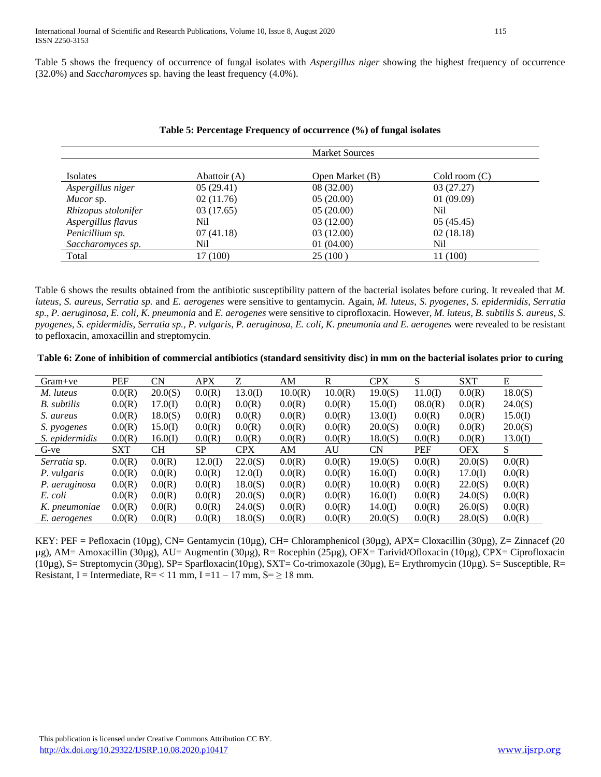Table 5 shows the frequency of occurrence of fungal isolates with *Aspergillus niger* showing the highest frequency of occurrence (32.0%) and *Saccharomyces* sp. having the least frequency (4.0%).

|                     |              | <b>Market Sources</b> |                         |
|---------------------|--------------|-----------------------|-------------------------|
|                     |              |                       |                         |
| Isolates            | Abattoir (A) | Open Market (B)       | $\text{ Cold room}$ (C) |
| Aspergillus niger   | 05(29.41)    | 08 (32.00)            | 03(27.27)               |
| Mucor sp.           | 02(11.76)    | 05(20.00)             | 01(09.09)               |
| Rhizopus stolonifer | 03(17.65)    | 05(20.00)             | Nil                     |
| Aspergillus flavus  | Nil          | 03(12.00)             | 05(45.45)               |
| Penicillium sp.     | 07(41.18)    | 03(12.00)             | 02(18.18)               |
| Saccharomyces sp.   | Nil          | 01(04.00)             | Nil                     |
| Total               | 17 (100)     | 25(100)               | 11 (100)                |

# **Table 5: Percentage Frequency of occurrence (%) of fungal isolates**

Table 6 shows the results obtained from the antibiotic susceptibility pattern of the bacterial isolates before curing. It revealed that *M. luteus, S. aureus, Serratia sp.* and *E. aerogenes* were sensitive to gentamycin. Again, *M. luteus, S. pyogenes, S. epidermidis, Serratia sp., P. aeruginosa, E. coli, K. pneumonia* and *E. aerogenes* were sensitive to ciprofloxacin. However, *M. luteus, B. subtilis S. aureus, S. pyogenes, S. epidermidis, Serratia sp., P. vulgaris, P. aeruginosa, E. coli, K. pneumonia and E. aerogenes* were revealed to be resistant to pefloxacin, amoxacillin and streptomycin*.*

**Table 6: Zone of inhibition of commercial antibiotics (standard sensitivity disc) in mm on the bacterial isolates prior to curing**

| $Gram+ve$           | <b>PEF</b> | CN      | <b>APX</b> | Z          | AM      | $\mathbb{R}$ | <b>CPX</b> | S          | <b>SXT</b> | E       |
|---------------------|------------|---------|------------|------------|---------|--------------|------------|------------|------------|---------|
| M. luteus           | 0.0(R)     | 20.0(S) | 0.0(R)     | 13.0(I)    | 10.0(R) | 10.0(R)      | 19.0(S)    | 11.0(I)    | 0.0(R)     | 18.0(S) |
| B. subtilis         | 0.0(R)     | 17.0(I) | 0.0(R)     | 0.0(R)     | 0.0(R)  | 0.0(R)       | 15.0(I)    | 08.0(R)    | 0.0(R)     | 24.0(S) |
| S. aureus           | 0.0(R)     | 18.0(S) | 0.0(R)     | 0.0(R)     | 0.0(R)  | 0.0(R)       | 13.0(I)    | 0.0(R)     | 0.0(R)     | 15.0(I) |
| S. pyogenes         | 0.0(R)     | 15.0(I) | 0.0(R)     | 0.0(R)     | 0.0(R)  | 0.0(R)       | 20.0(S)    | 0.0(R)     | 0.0(R)     | 20.0(S) |
| S. epidermidis      | 0.0(R)     | 16.0(I) | 0.0(R)     | 0.0(R)     | 0.0(R)  | 0.0(R)       | 18.0(S)    | 0.0(R)     | 0.0(R)     | 13.0(I) |
| G-ve                | <b>SXT</b> | CН      | <b>SP</b>  | <b>CPX</b> | AM      | AU           | <b>CN</b>  | <b>PEF</b> | <b>OFX</b> | S.      |
| <i>Serratia</i> sp. | 0.0(R)     | 0.0(R)  | 12.0(I)    | 22.0(S)    | 0.0(R)  | 0.0(R)       | 19.0(S)    | 0.0(R)     | 20.0(S)    | 0.0(R)  |
| P. vulgaris         | 0.0(R)     | 0.0(R)  | 0.0(R)     | 12.0(I)    | 0.0(R)  | 0.0(R)       | 16.0(I)    | 0.0(R)     | 17.0(I)    | 0.0(R)  |
| P. aeruginosa       | 0.0(R)     | 0.0(R)  | 0.0(R)     | 18.0(S)    | 0.0(R)  | 0.0(R)       | 10.0(R)    | 0.0(R)     | 22.0(S)    | 0.0(R)  |
| E. coli             | 0.0(R)     | 0.0(R)  | 0.0(R)     | 20.0(S)    | 0.0(R)  | 0.0(R)       | 16.0(I)    | 0.0(R)     | 24.0(S)    | 0.0(R)  |
| K. pneumoniae       | 0.0(R)     | 0.0(R)  | 0.0(R)     | 24.0(S)    | 0.0(R)  | 0.0(R)       | 14.0(I)    | 0.0(R)     | 26.0(S)    | 0.0(R)  |
| E. aerogenes        | 0.0(R)     | 0.0(R)  | 0.0(R)     | 18.0(S)    | 0.0(R)  | 0.0(R)       | 20.0(S)    | 0.0(R)     | 28.0(S)    | 0.0(R)  |

KEY: PEF = Pefloxacin (10µg), CN= Gentamycin (10µg), CH= Chloramphenicol (30µg), APX= Cloxacillin (30µg), Z= Zinnacef (20 µg), AM= Amoxacillin (30µg), AU= Augmentin (30µg), R= Rocephin (25µg), OFX= Tarivid/Ofloxacin (10µg), CPX= Ciprofloxacin  $(10\mu$ g), S= Streptomycin (30µg), SP= Sparfloxacin(10µg), SXT= Co-trimoxazole (30µg), E= Erythromycin (10µg). S= Susceptible, R= Resistant, I = Intermediate,  $R = < 11$  mm, I = 11 – 17 mm, S =  $\geq 18$  mm.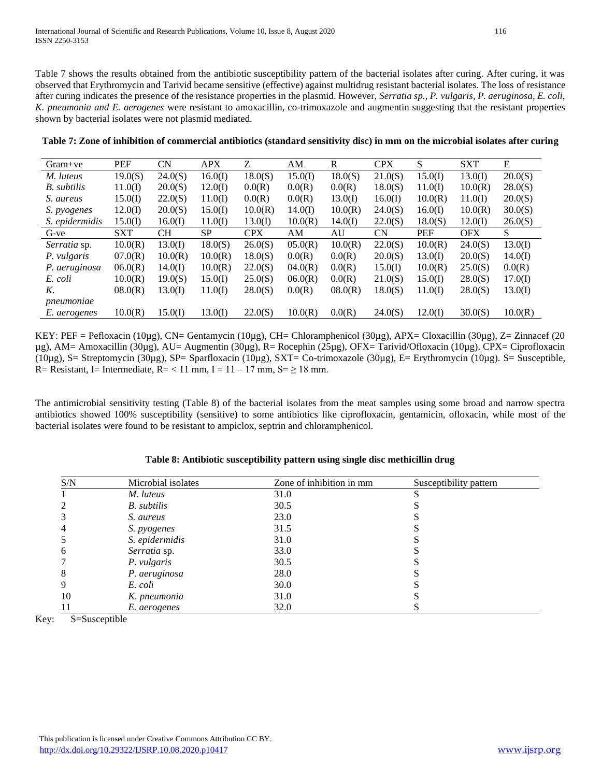Table 7 shows the results obtained from the antibiotic susceptibility pattern of the bacterial isolates after curing. After curing, it was observed that Erythromycin and Tarivid became sensitive (effective) against multidrug resistant bacterial isolates. The loss of resistance after curing indicates the presence of the resistance properties in the plasmid. However, *Serratia sp., P. vulgaris, P. aeruginosa, E. coli, K. pneumonia and E. aerogenes* were resistant to amoxacillin, co-trimoxazole and augmentin suggesting that the resistant properties shown by bacterial isolates were not plasmid mediated.

| $Gram+ve$           | <b>PEF</b> | <b>CN</b> | <b>APX</b> | Z          | AM      | R       | <b>CPX</b> | S          | <b>SXT</b> | E       |
|---------------------|------------|-----------|------------|------------|---------|---------|------------|------------|------------|---------|
| M. luteus           | 19.0(S)    | 24.0(S)   | 16.0(I)    | 18.0(S)    | 15.0(I) | 18.0(S) | 21.0(S)    | 15.0(I)    | 13.0(I)    | 20.0(S) |
| B. subtilis         | 11.0(I)    | 20.0(S)   | 12.0(I)    | 0.0(R)     | 0.0(R)  | 0.0(R)  | 18.0(S)    | 11.0(I)    | 10.0(R)    | 28.0(S) |
| S. aureus           | 15.0(I)    | 22.0(S)   | 11.0(I)    | 0.0(R)     | 0.0(R)  | 13.0(I) | 16.0(I)    | 10.0(R)    | 11.0(I)    | 20.0(S) |
| S. <i>pyogenes</i>  | 12.0(I)    | 20.0(S)   | 15.0(I)    | 10.0(R)    | 14.0(I) | 10.0(R) | 24.0(S)    | 16.0(I)    | 10.0(R)    | 30.0(S) |
| S. epidermidis      | 15.0(I)    | 16.0(I)   | 11.0(I)    | 13.0(I)    | 10.0(R) | 14.0(I) | 22.0(S)    | 18.0(S)    | 12.0(I)    | 26.0(S) |
| G-ve                | <b>SXT</b> | CН        | <b>SP</b>  | <b>CPX</b> | AM      | AU      | <b>CN</b>  | <b>PEF</b> | <b>OFX</b> | S       |
| <i>Serratia</i> sp. | 10.0(R)    | 13.0(I)   | 18.0(S)    | 26.0(S)    | 05.0(R) | 10.0(R) | 22.0(S)    | 10.0(R)    | 24.0(S)    | 13.0(I) |
| P. vulgaris         | 07.0(R)    | 10.0(R)   | 10.0(R)    | 18.0(S)    | 0.0(R)  | 0.0(R)  | 20.0(S)    | 13.0(I)    | 20.0(S)    | 14.0(I) |
| P. aeruginosa       | 06.0(R)    | 14.0(I)   | 10.0(R)    | 22.0(S)    | 04.0(R) | 0.0(R)  | 15.0(I)    | 10.0(R)    | 25.0(S)    | 0.0(R)  |
| E. coli             | 10.0(R)    | 19.0(S)   | 15.0(I)    | 25.0(S)    | 06.0(R) | 0.0(R)  | 21.0(S)    | 15.0(I)    | 28.0(S)    | 17.0(I) |
| K.                  | 08.0(R)    | 13.0(I)   | 11.0(I)    | 28.0(S)    | 0.0(R)  | 08.0(R) | 18.0(S)    | 11.0(I)    | 28.0(S)    | 13.0(I) |
| pneumoniae          |            |           |            |            |         |         |            |            |            |         |
| E. aerogenes        | 10.0(R)    | 15.0(I)   | 13.0(I)    | 22.0(S)    | 10.0(R) | 0.0(R)  | 24.0(S)    | 12.0(I)    | 30.0(S)    | 10.0(R) |

**Table 7: Zone of inhibition of commercial antibiotics (standard sensitivity disc) in mm on the microbial isolates after curing**

KEY: PEF = Pefloxacin (10µg), CN= Gentamycin (10µg), CH= Chloramphenicol (30µg), APX= Cloxacillin (30µg), Z= Zinnacef (20 µg), AM= Amoxacillin (30µg), AU= Augmentin (30µg), R= Rocephin (25µg), OFX= Tarivid/Ofloxacin (10µg), CPX= Ciprofloxacin (10µg), S= Streptomycin (30µg), SP= Sparfloxacin (10µg), SXT= Co-trimoxazole (30µg), E= Erythromycin (10µg). S= Susceptible, R = Resistant, I = Intermediate,  $R = < 11$  mm, I =  $11 - 17$  mm, S =  $\geq 18$  mm.

The antimicrobial sensitivity testing (Table 8) of the bacterial isolates from the meat samples using some broad and narrow spectra antibiotics showed 100% susceptibility (sensitive) to some antibiotics like ciprofloxacin, gentamicin, ofloxacin, while most of the bacterial isolates were found to be resistant to ampiclox, septrin and chloramphenicol.

| S/N            | Microbial isolates | Zone of inhibition in mm | Susceptibility pattern |  |
|----------------|--------------------|--------------------------|------------------------|--|
|                | M. luteus          | 31.0                     |                        |  |
| 2              | B. subtilis        | 30.5                     |                        |  |
| 3              | S. aureus          | 23.0                     |                        |  |
| $\overline{4}$ | S. pyogenes        | 31.5                     |                        |  |
| 5              | S. epidermidis     | 31.0                     |                        |  |
| 6              | Serratia sp.       | 33.0                     |                        |  |
| 7              | P. vulgaris        | 30.5                     |                        |  |
| 8              | P. aeruginosa      | 28.0                     |                        |  |
| 9              | E. coli            | 30.0                     |                        |  |
| 10             | K. pneumonia       | 31.0                     |                        |  |
| 11             | E. aerogenes       | 32.0                     |                        |  |

#### **Table 8: Antibiotic susceptibility pattern using single disc methicillin drug**

Key: S=Susceptible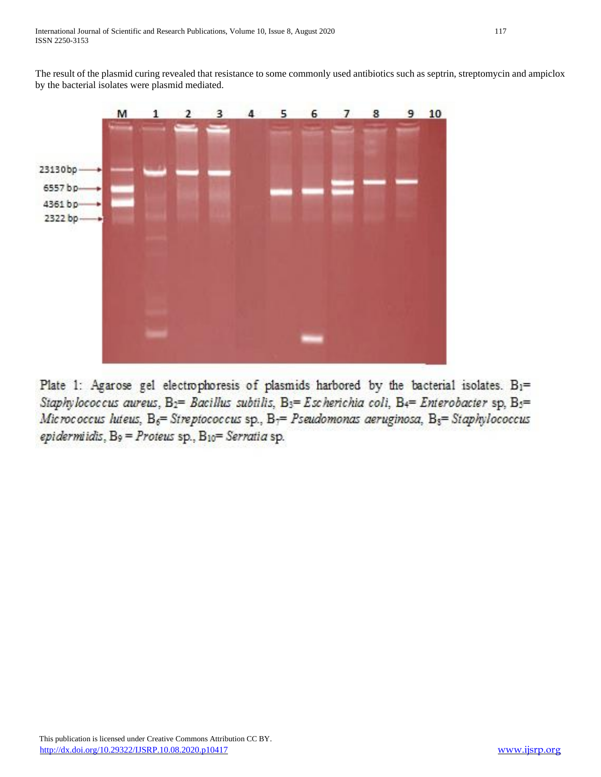The result of the plasmid curing revealed that resistance to some commonly used antibiotics such as septrin, streptomycin and ampiclox by the bacterial isolates were plasmid mediated.



Plate 1: Agarose gel electrophoresis of plasmids harbored by the bacterial isolates. B1= Staphylococcus aureus, B<sub>2</sub>= Bacillus subtilis, B<sub>3</sub>= Escherichia coli, B4= Enterobacter sp, B<sub>3</sub>= Micrococcus luteus, B<sub>6</sub>= Streptococcus sp., B<sub>7</sub>= Pseudomonas aeruginosa, B<sub>5</sub>= Staphylococcus epidermiidis,  $B_9$  = Proteus sp.,  $B_{10}$  = Serratia sp.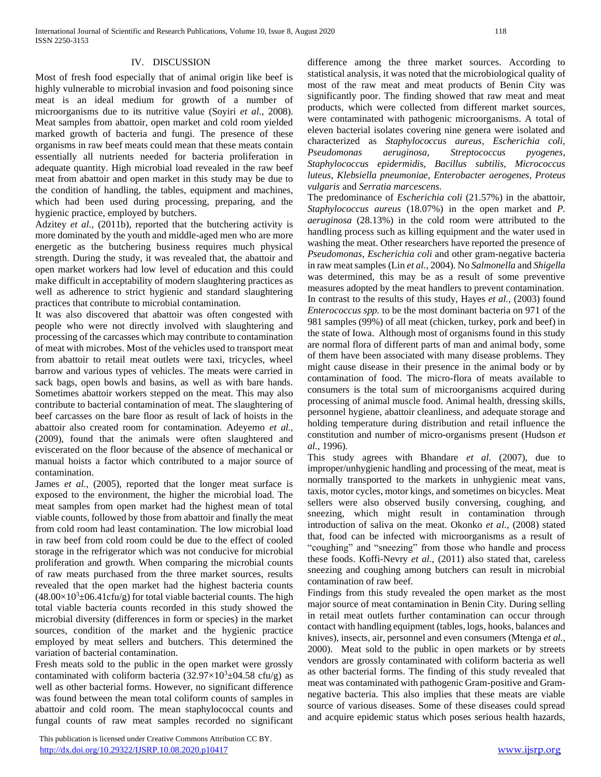### IV. DISCUSSION

Most of fresh food especially that of animal origin like beef is highly vulnerable to microbial invasion and food poisoning since meat is an ideal medium for growth of a number of microorganisms due to its nutritive value (Soyiri *et al.,* 2008). Meat samples from abattoir, open market and cold room yielded marked growth of bacteria and fungi. The presence of these organisms in raw beef meats could mean that these meats contain essentially all nutrients needed for bacteria proliferation in adequate quantity. High microbial load revealed in the raw beef meat from abattoir and open market in this study may be due to the condition of handling, the tables, equipment and machines, which had been used during processing, preparing, and the hygienic practice, employed by butchers.

Adzitey *et al.,* (2011b), reported that the butchering activity is more dominated by the youth and middle-aged men who are more energetic as the butchering business requires much physical strength. During the study, it was revealed that, the abattoir and open market workers had low level of education and this could make difficult in acceptability of modern slaughtering practices as well as adherence to strict hygienic and standard slaughtering practices that contribute to microbial contamination.

It was also discovered that abattoir was often congested with people who were not directly involved with slaughtering and processing of the carcasses which may contribute to contamination of meat with microbes. Most of the vehicles used to transport meat from abattoir to retail meat outlets were taxi, tricycles, wheel barrow and various types of vehicles. The meats were carried in sack bags, open bowls and basins, as well as with bare hands. Sometimes abattoir workers stepped on the meat. This may also contribute to bacterial contamination of meat. The slaughtering of beef carcasses on the bare floor as result of lack of hoists in the abattoir also created room for contamination. Adeyemo *et al.,* (2009), found that the animals were often slaughtered and eviscerated on the floor because of the absence of mechanical or manual hoists a factor which contributed to a major source of contamination.

James *et al.*, (2005), reported that the longer meat surface is exposed to the environment, the higher the microbial load. The meat samples from open market had the highest mean of total viable counts, followed by those from abattoir and finally the meat from cold room had least contamination. The low microbial load in raw beef from cold room could be due to the effect of cooled storage in the refrigerator which was not conducive for microbial proliferation and growth. When comparing the microbial counts of raw meats purchased from the three market sources, results revealed that the open market had the highest bacteria counts  $(48.00\times10^{3} \pm 06.41 \text{c}$ fu/g) for total viable bacterial counts. The high total viable bacteria counts recorded in this study showed the microbial diversity (differences in form or species) in the market sources, condition of the market and the hygienic practice employed by meat sellers and butchers. This determined the variation of bacterial contamination.

Fresh meats sold to the public in the open market were grossly contaminated with coliform bacteria  $(32.97\times10^{3} \pm 04.58 \text{ cftu/g})$  as well as other bacterial forms. However, no significant difference was found between the mean total coliform counts of samples in abattoir and cold room. The mean staphylococcal counts and fungal counts of raw meat samples recorded no significant

 This publication is licensed under Creative Commons Attribution CC BY. <http://dx.doi.org/10.29322/IJSRP.10.08.2020.p10417> [www.ijsrp.org](http://ijsrp.org/)

difference among the three market sources. According to statistical analysis, it was noted that the microbiological quality of most of the raw meat and meat products of Benin City was significantly poor. The finding showed that raw meat and meat products, which were collected from different market sources, were contaminated with pathogenic microorganisms. A total of eleven bacterial isolates covering nine genera were isolated and characterized as *Staphylococcus aureus, Escherichia coli, Pseudomonas aeruginosa, Streptococcus pyogenes, Staphylococcus epidermidis, Bacillus subtilis, Micrococcus luteus, Klebsiella pneumoniae, Enterobacter aerogenes, Proteus vulgaris* and *Serratia marcescens.*

The predominance of *Escherichia coli* (21.57%) in the abattoir, *Staphylococcus aureus* (18.07%) in the open market and *P. aeruginosa* (28.13%) in the cold room were attributed to the handling process such as killing equipment and the water used in washing the meat. Other researchers have reported the presence of *Pseudomonas*, *Escherichia coli* and other gram-negative bacteria in raw meat samples (Lin *et al.,* 2004). No *Salmonella* and *Shigella* was determined, this may be as a result of some preventive measures adopted by the meat handlers to prevent contamination. In contrast to the results of this study, Hayes *et al.,* (2003) found *Enterococcus spp.* to be the most dominant bacteria on 971 of the 981 samples (99%) of all meat (chicken, turkey, pork and beef) in the state of Iowa. Although most of organisms found in this study are normal flora of different parts of man and animal body, some of them have been associated with many disease problems. They might cause disease in their presence in the animal body or by contamination of food. The micro-flora of meats available to consumers is the total sum of microorganisms acquired during processing of animal muscle food. Animal health, dressing skills, personnel hygiene, abattoir cleanliness, and adequate storage and holding temperature during distribution and retail influence the constitution and number of micro-organisms present (Hudson *et al.,* 1996).

This study agrees with Bhandare *et al.* (2007), due to improper/unhygienic handling and processing of the meat, meat is normally transported to the markets in unhygienic meat vans, taxis, motor cycles, motor kings, and sometimes on bicycles. Meat sellers were also observed busily conversing, coughing, and sneezing, which might result in contamination through introduction of saliva on the meat. Okonko *et al.,* (2008) stated that, food can be infected with microorganisms as a result of "coughing" and "sneezing" from those who handle and process these foods. Koffi-Nevry *et al.,* (2011) also stated that, careless sneezing and coughing among butchers can result in microbial contamination of raw beef.

Findings from this study revealed the open market as the most major source of meat contamination in Benin City. During selling in retail meat outlets further contamination can occur through contact with handling equipment (tables, logs, hooks, balances and knives), insects, air, personnel and even consumers (Mtenga *et al.,* 2000). Meat sold to the public in open markets or by streets vendors are grossly contaminated with coliform bacteria as well as other bacterial forms. The finding of this study revealed that meat was contaminated with pathogenic Gram-positive and Gramnegative bacteria. This also implies that these meats are viable source of various diseases. Some of these diseases could spread and acquire epidemic status which poses serious health hazards,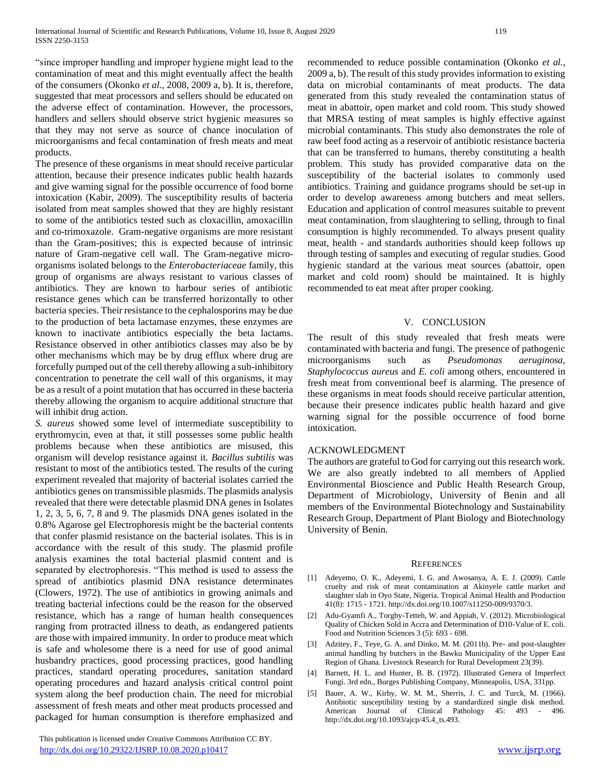"since improper handling and improper hygiene might lead to the contamination of meat and this might eventually affect the health of the consumers (Okonko *et al.,* 2008, 2009 a, b). It is, therefore, suggested that meat processors and sellers should be educated on the adverse effect of contamination. However, the processors, handlers and sellers should observe strict hygienic measures so that they may not serve as source of chance inoculation of microorganisms and fecal contamination of fresh meats and meat products.

The presence of these organisms in meat should receive particular attention, because their presence indicates public health hazards and give warning signal for the possible occurrence of food borne intoxication (Kabir, 2009). The susceptibility results of bacteria isolated from meat samples showed that they are highly resistant to some of the antibiotics tested such as cloxacillin, amoxacillin and co-trimoxazole. Gram-negative organisms are more resistant than the Gram-positives; this is expected because of intrinsic nature of Gram-negative cell wall. The Gram-negative microorganisms isolated belongs to the *Enterobacteriaceae* family, this group of organisms are always resistant to various classes of antibiotics. They are known to harbour series of antibiotic resistance genes which can be transferred horizontally to other bacteria species. Their resistance to the cephalosporins may be due to the production of beta lactamase enzymes, these enzymes are known to inactivate antibiotics especially the beta lactams. Resistance observed in other antibiotics classes may also be by other mechanisms which may be by drug efflux where drug are forcefully pumped out of the cell thereby allowing a sub-inhibitory concentration to penetrate the cell wall of this organisms, it may be as a result of a point mutation that has occurred in these bacteria thereby allowing the organism to acquire additional structure that will inhibit drug action.

*S. aureus* showed some level of intermediate susceptibility to erythromycin, even at that, it still possesses some public health problems because when these antibiotics are misused, this organism will develop resistance against it. *Bacillus subtilis* was resistant to most of the antibiotics tested. The results of the curing experiment revealed that majority of bacterial isolates carried the antibiotics genes on transmissible plasmids. The plasmids analysis revealed that there were detectable plasmid DNA genes in Isolates 1, 2, 3, 5, 6, 7, 8 and 9. The plasmids DNA genes isolated in the 0.8% Agarose gel Electrophoresis might be the bacterial contents that confer plasmid resistance on the bacterial isolates. This is in accordance with the result of this study. The plasmid profile analysis examines the total bacterial plasmid content and is separated by electrophoresis. "This method is used to assess the spread of antibiotics plasmid DNA resistance determinates (Clowers, 1972). The use of antibiotics in growing animals and treating bacterial infections could be the reason for the observed resistance, which has a range of human health consequences ranging from protracted illness to death, as endangered patients are those with impaired immunity. In order to produce meat which is safe and wholesome there is a need for use of good animal husbandry practices, good processing practices, good handling practices, standard operating procedures, sanitation standard operating procedures and hazard analysis critical control point system along the beef production chain. The need for microbial assessment of fresh meats and other meat products processed and packaged for human consumption is therefore emphasized and

 This publication is licensed under Creative Commons Attribution CC BY. <http://dx.doi.org/10.29322/IJSRP.10.08.2020.p10417> [www.ijsrp.org](http://ijsrp.org/)

recommended to reduce possible contamination (Okonko *et al.,* 2009 a, b). The result of this study provides information to existing data on microbial contaminants of meat products. The data generated from this study revealed the contamination status of meat in abattoir, open market and cold room. This study showed that MRSA testing of meat samples is highly effective against microbial contaminants. This study also demonstrates the role of raw beef food acting as a reservoir of antibiotic resistance bacteria that can be transferred to humans, thereby constituting a health problem. This study has provided comparative data on the susceptibility of the bacterial isolates to commonly used antibiotics. Training and guidance programs should be set-up in order to develop awareness among butchers and meat sellers. Education and application of control measures suitable to prevent meat contamination, from slaughtering to selling, through to final consumption is highly recommended. To always present quality meat, health - and standards authorities should keep follows up through testing of samples and executing of regular studies. Good hygienic standard at the various meat sources (abattoir, open market and cold room) should be maintained. It is highly recommended to eat meat after proper cooking.

#### V. CONCLUSION

The result of this study revealed that fresh meats were contaminated with bacteria and fungi. The presence of pathogenic microorganisms such as *Pseudomonas aeruginosa, Staphylococcus aureus* and *E. coli* among others, encountered in fresh meat from conventional beef is alarming. The presence of these organisms in meat foods should receive particular attention, because their presence indicates public health hazard and give warning signal for the possible occurrence of food borne intoxication.

#### ACKNOWLEDGMENT

The authors are grateful to God for carrying out this research work. We are also greatly indebted to all members of Applied Environmental Bioscience and Public Health Research Group, Department of Microbiology, University of Benin and all members of the Environmental Biotechnology and Sustainability Research Group, Department of Plant Biology and Biotechnology University of Benin.

#### **REFERENCES**

- [1] Adeyemo, O. K., Adeyemi, I. G. and Awosanya, A. E. J. (2009). Cattle cruelty and risk of meat contamination at Akinyele cattle market and slaughter slab in Oyo State, Nigeria. Tropical Animal Health and Production 41(8): 1715 - 1721. http://dx.doi.org/10.1007/s11250-009/9370/3.
- [2] Adu-Gyamfi A., Torgby-Tetteh, W. and Appiah, V. (2012). Microbiological Quality of Chicken Sold in Accra and Determination of D10-Value of E. coli. Food and Nutrition Sciences 3 (5): 693 - 698.
- [3] Adzitey, F., Teye, G. A. and Dinko, M. M. (2011b). Pre- and post-slaughter animal handling by butchers in the Bawku Municipality of the Upper East Region of Ghana. Livestock Research for Rural Development 23(39).
- [4] Barnett, H. L. and Hunter, B. B. (1972). Illustrated Genera of Imperfect Fungi. 3rd edn., Burges Publishing Company, Minneapolis, USA, 331pp.
- [5] Bauer, A. W., Kirby, W. M. M., Sherris, J. C. and Turck, M. (1966). Antibiotic susceptibility testing by a standardized single disk method. American Journal of Clinical Pathology 45: 493 - 496. http://dx.doi.org/10.1093/ajcp/45.4\_ts.493.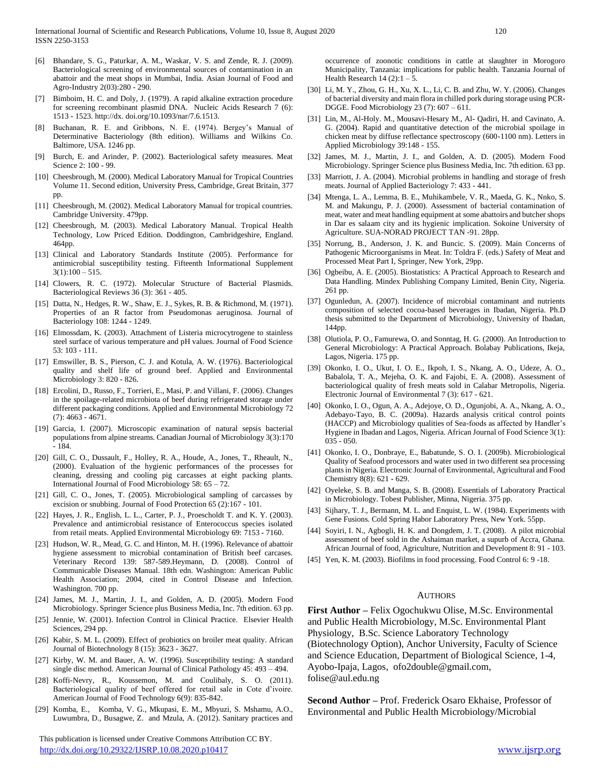- [6] Bhandare, S. G., Paturkar, A. M., Waskar, V. S. and Zende, R. J. (2009). Bacteriological screening of environmental sources of contamination in an abattoir and the meat shops in Mumbai, India. Asian Journal of Food and Agro-Industry 2(03):280 - 290.
- [7] Bimboim, H. C. and Doly, J. (1979). A rapid alkaline extraction procedure for screening recombinant plasmid DNA. Nucleic Acids Research 7 (6): 1513 - 1523. http://dx. doi.org/10.1093/nar/7.6.1513.
- [8] Buchanan, R. E. and Gribbons, N. E. (1974). Bergey's Manual of Determinative Bacteriology (8th edition). Williams and Wilkins Co. Baltimore, USA. 1246 pp.
- [9] Burch, E. and Arinder, P. (2002). Bacteriological safety measures. Meat Science 2: 100 - 99.
- [10] Cheesbrough, M. (2000). Medical Laboratory Manual for Tropical Countries Volume 11. Second edition, University Press, Cambridge, Great Britain, 377 pp.
- [11] Cheesbrough, M. (2002). Medical Laboratory Manual for tropical countries. Cambridge University. 479pp.
- [12] Cheesbrough, M. (2003). Medical Laboratory Manual. Tropical Health Technology, Low Priced Edition. Doddington, Cambridgeshire, England. 464pp.
- [13] Clinical and Laboratory Standards Institute (2005). Performance for antimicrobial susceptibility testing. Fifteenth Informational Supplement  $3(1):100 - 515.$
- [14] Clowers, R. C. (1972). Molecular Structure of Bacterial Plasmids. Bacteriological Reviews 36 (3): 361 - 405.
- [15] Datta, N., Hedges, R. W., Shaw, E. J., Sykes, R. B. & Richmond, M. (1971). Properties of an R factor from Pseudomonas aeruginosa. Journal of Bacteriology 108: 1244 - 1249.
- [16] Elmossdam, K. (2003). Attachment of Listeria microcytrogene to stainless steel surface of various temperature and pH values. Journal of Food Science 53: 103 - 111.
- [17] Emswiller, B. S., Pierson, C. J. and Kotula, A. W. (1976). Bacteriological quality and shelf life of ground beef. Applied and Environmental Microbiology 3: 820 - 826.
- [18] Ercolini, D., Russo, F., Torrieri, E., Masi, P. and Villani, F. (2006). Changes in the spoilage-related microbiota of beef during refrigerated storage under different packaging conditions. Applied and Environmental Microbiology 72 (7): 4663 - 4671.
- [19] Garcia, I. (2007). Microscopic examination of natural sepsis bacterial populations from alpine streams. Canadian Journal of Microbiology 3(3):170 - 184.
- [20] Gill, C. O., Dussault, F., Holley, R. A., Houde, A., Jones, T., Rheault, N., (2000). Evaluation of the hygienic performances of the processes for cleaning, dressing and cooling pig carcasses at eight packing plants. International Journal of Food Microbiology 58: 65 – 72.
- [21] Gill, C. O., Jones, T. (2005). Microbiological sampling of carcasses by excision or snubbing. Journal of Food Protection 65 (2):167 - 101.
- [22] Hayes, J. R., English, L. L., Carter, P. J., Proescholdt T. and K. Y. (2003). Prevalence and antimicrobial resistance of Enterococcus species isolated from retail meats. Applied Environmental Microbiology 69: 7153 - 7160.
- [23] Hudson, W. R., Mead, G. C. and Hinton, M. H. (1996). Relevance of abattoir hygiene assessment to microbial contamination of British beef carcases. Veterinary Record 139: 587-589.Heymann, D. (2008). Control of Communicable Diseases Manual. 18th edn. Washington: American Public Health Association; 2004, cited in Control Disease and Infection. Washington. 700 pp.
- [24] James, M. J., Martin, J. I., and Golden, A. D. (2005). Modern Food Microbiology. Springer Science plus Business Media, Inc. 7th edition. 63 pp.
- [25] Jennie, W. (2001). Infection Control in Clinical Practice. Elsevier Health Sciences, 294 pp.
- [26] Kabir, S. M. L. (2009). Effect of probiotics on broiler meat quality. African Journal of Biotechnology 8 (15): 3623 - 3627.
- [27] Kirby, W. M. and Bauer, A. W. (1996). Susceptibility testing: A standard single disc method. American Journal of Clinical Pathology 45: 493 – 494.
- [28] Koffi-Nevry, R., Koussemon, M. and Coulibaly, S. O. (2011). Bacteriological quality of beef offered for retail sale in Cote d'ivoire. American Journal of Food Technology 6(9): 835-842.
- [29] Komba, E., Komba, V. G., Mkupasi, E. M., Mbyuzi, S. Mshamu, A.O., Luwumbra, D., Busagwe, Z. and Mzula, A. (2012). Sanitary practices and

 This publication is licensed under Creative Commons Attribution CC BY. <http://dx.doi.org/10.29322/IJSRP.10.08.2020.p10417> [www.ijsrp.org](http://ijsrp.org/)

occurrence of zoonotic conditions in cattle at slaughter in Morogoro Municipality, Tanzania: implications for public health. Tanzania Journal of Health Research  $14(2):1-5$ .

- [30] Li, M. Y., Zhou, G. H., Xu, X. L., Li, C. B. and Zhu, W. Y. (2006). Changes of bacterial diversity and main flora in chilled pork during storage using PCR-DGGE. Food Microbiology 23 (7): 607 – 611.
- [31] Lin, M., Al-Holy. M., Mousavi-Hesary M., Al- Qadiri, H. and Cavinato, A. G. (2004). Rapid and quantitative detection of the microbial spoilage in chicken meat by diffuse reflectance spectroscopy (600-1100 nm). Letters in Applied Microbiology 39:148 - 155.
- [32] James, M. J., Martin, J. I., and Golden, A. D. (2005). Modern Food Microbiology. Springer Science plus Business Media, Inc. 7th edition. 63 pp.
- [33] Marriott, J. A. (2004). Microbial problems in handling and storage of fresh meats. Journal of Applied Bacteriology 7: 433 - 441.
- [34] Mtenga, L. A., Lemma, B. E., Muhikambele, V. R., Maeda, G. K., Nnko, S. M. and Makungu, P. J. (2000). Assessment of bacterial contamination of meat, water and meat handling equipment at some abattoirs and butcher shops in Dar es salaam city and its hygienic implication. Sokoine University of Agriculture. SUA-NORAD PROJECT TAN -91. 28pp.
- [35] Norrung, B., Anderson, J. K. and Buncic. S. (2009). Main Concerns of Pathogenic Microorganisms in Meat. In: Toldra F. (eds.) Safety of Meat and Processed Meat Part I, Springer, New York, 29pp.
- [36] Ogbeibu, A. E. (2005). Biostatistics: A Practical Approach to Research and Data Handling. Mindex Publishing Company Limited, Benin City, Nigeria. 261 pp.
- [37] Ogunledun, A. (2007). Incidence of microbial contaminant and nutrients composition of selected cocoa-based beverages in Ibadan, Nigeria. Ph.D thesis submitted to the Department of Microbiology, University of Ibadan, 144pp.
- [38] Olutiola, P. O., Famurewa, O. and Sonntag, H. G. (2000). An Introduction to General Microbiology: A Practical Approach. Bolabay Publications, Ikeja, Lagos, Nigeria. 175 pp.
- [39] Okonko, I. O., Ukut, I. O. E., Ikpoh, I. S., Nkang, A. O., Udeze, A. O., Babalola, T. A., Mejeha, O. K. and Fajobi, E. A. (2008). Assessment of bacteriological quality of fresh meats sold in Calabar Metropolis, Nigeria. Electronic Journal of Environmental 7 (3): 617 - 621.
- [40] Okonko, I. O., Ogun, A. A., Adejoye, O. D., Ogunjobi, A. A., Nkang, A. O., Adebayo-Tayo, B. C. (2009a). Hazards analysis critical control points (HACCP) and Microbiology qualities of Sea-foods as affected by Handler's Hygiene in Ibadan and Lagos, Nigeria. African Journal of Food Science 3(1): 035 - 050.
- [41] Okonko, I. O., Donbraye, E., Babatunde, S. O. I. (2009b). Microbiological Quality of Seafood processors and water used in two different sea processing plants in Nigeria. Electronic Journal of Environmental, Agricultural and Food Chemistry 8(8): 621 - 629.
- [42] Oyeleke, S. B. and Manga, S. B. (2008). Essentials of Laboratory Practical in Microbiology. Tobest Publisher, Minna, Nigeria. 375 pp.
- [43] Sijhary, T. J., Bermann, M. L. and Enquist, L. W. (1984). Experiments with Gene Fusions. Cold Spring Habor Laboratory Press, New York. 55pp.
- [44] Soyiri, I. N., Agbogli, H. K. and Dongdem, J. T. (2008). A pilot microbial assessment of beef sold in the Ashaiman market, a supurb of Accra, Ghana. African Journal of food, Agriculture, Nutrition and Development 8: 91 - 103.
- [45] Yen, K. M. (2003). Biofilms in food processing. Food Control 6: 9 -18.

#### **AUTHORS**

**First Author –** Felix Ogochukwu Olise, M.Sc. Environmental and Public Health Microbiology, M.Sc. Environmental Plant Physiology, B.Sc. Science Laboratory Technology (Biotechnology Option), Anchor University, Faculty of Science and Science Education, Department of Biological Science, 1-4, Ayobo-Ipaja, Lagos, ofo2double@gmail.com,

folise@aul.edu.ng

**Second Author –** Prof. Frederick Osaro Ekhaise, Professor of Environmental and Public Health Microbiology/Microbial